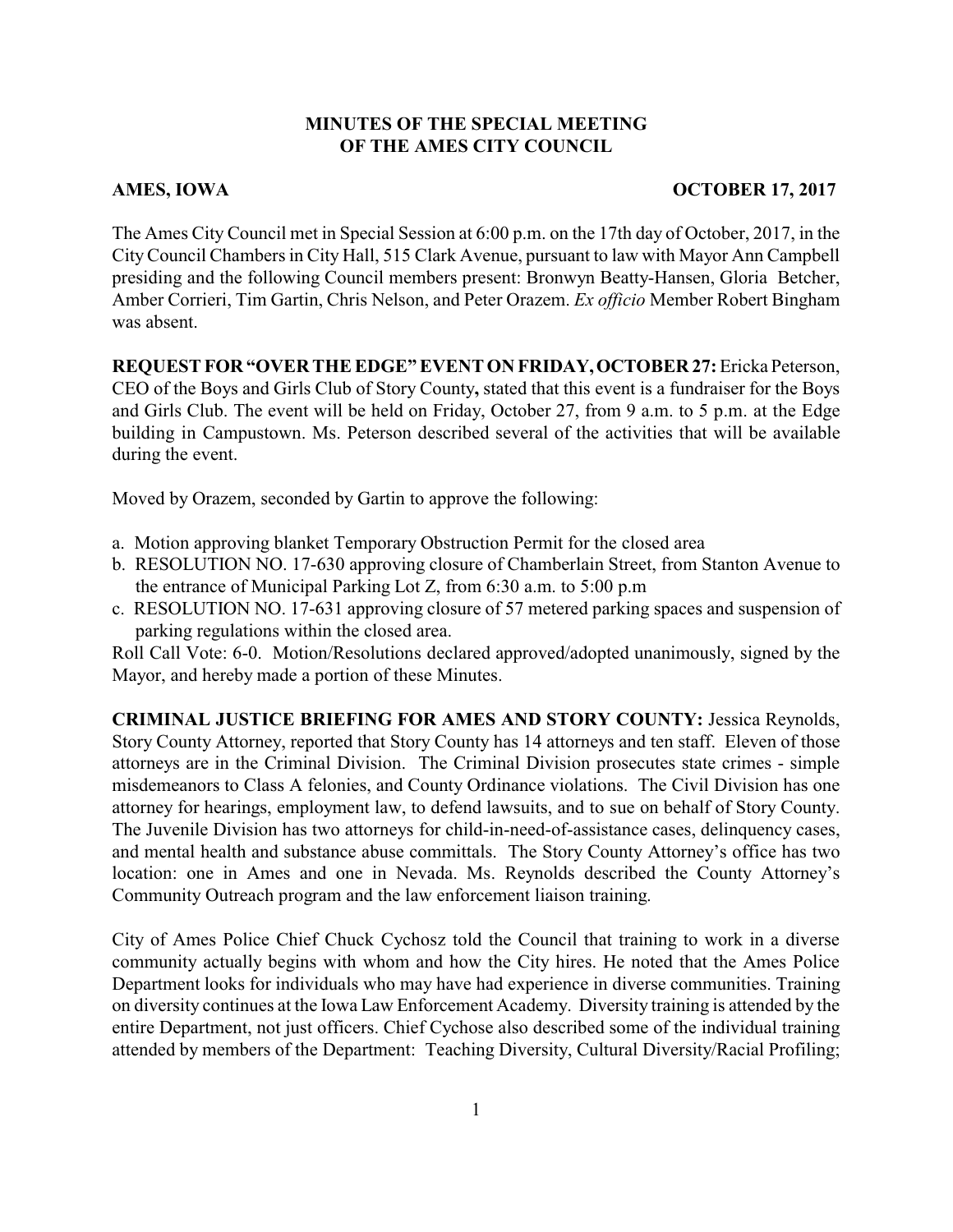## **MINUTES OF THE SPECIAL MEETING OF THE AMES CITY COUNCIL**

## AMES, IOWA **OCTOBER 17, 2017**

The Ames City Council met in Special Session at 6:00 p.m. on the 17th day of October, 2017, in the CityCouncil Chambers in City Hall, 515 Clark Avenue, pursuant to law with Mayor Ann Campbell presiding and the following Council members present: Bronwyn Beatty-Hansen, Gloria Betcher, Amber Corrieri, Tim Gartin, Chris Nelson, and Peter Orazem. *Ex officio* Member Robert Bingham was absent.

**REQUEST FOR "OVER THE EDGE" EVENT ON FRIDAY,OCTOBER 27:** Ericka Peterson,

CEO of the Boys and Girls Club of Story County**,** stated that this event is a fundraiser for the Boys and Girls Club. The event will be held on Friday, October 27, from 9 a.m. to 5 p.m. at the Edge building in Campustown. Ms. Peterson described several of the activities that will be available during the event.

Moved by Orazem, seconded by Gartin to approve the following:

- a. Motion approving blanket Temporary Obstruction Permit for the closed area
- b. RESOLUTION NO. 17-630 approving closure of Chamberlain Street, from Stanton Avenue to the entrance of Municipal Parking Lot Z, from 6:30 a.m. to 5:00 p.m
- c. RESOLUTION NO. 17-631 approving closure of 57 metered parking spaces and suspension of parking regulations within the closed area.

Roll Call Vote: 6-0. Motion/Resolutions declared approved/adopted unanimously, signed by the Mayor, and hereby made a portion of these Minutes.

**CRIMINAL JUSTICE BRIEFING FOR AMES AND STORY COUNTY:** Jessica Reynolds, Story County Attorney, reported that Story County has 14 attorneys and ten staff. Eleven of those attorneys are in the Criminal Division. The Criminal Division prosecutes state crimes - simple misdemeanors to Class A felonies, and County Ordinance violations. The Civil Division has one attorney for hearings, employment law, to defend lawsuits, and to sue on behalf of Story County. The Juvenile Division has two attorneys for child-in-need-of-assistance cases, delinquency cases, and mental health and substance abuse committals. The Story County Attorney's office has two location: one in Ames and one in Nevada. Ms. Reynolds described the County Attorney's Community Outreach program and the law enforcement liaison training.

City of Ames Police Chief Chuck Cychosz told the Council that training to work in a diverse community actually begins with whom and how the City hires. He noted that the Ames Police Department looks for individuals who may have had experience in diverse communities. Training on diversity continues at the Iowa Law Enforcement Academy. Diversity training is attended by the entire Department, not just officers. Chief Cychose also described some of the individual training attended by members of the Department: Teaching Diversity, Cultural Diversity/Racial Profiling;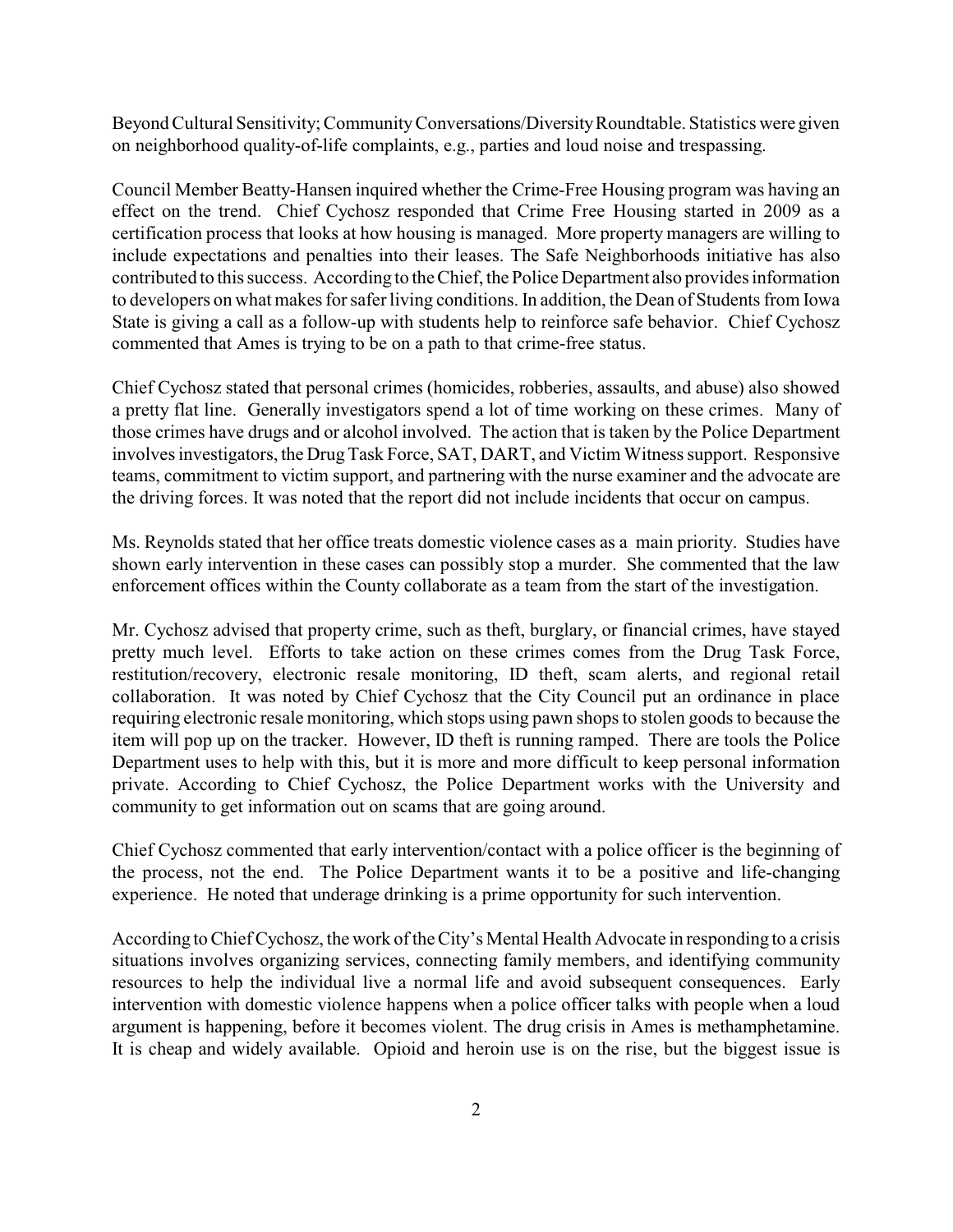Beyond Cultural Sensitivity; Community Conversations/Diversity Roundtable. Statistics were given on neighborhood quality-of-life complaints, e.g., parties and loud noise and trespassing.

Council Member Beatty-Hansen inquired whether the Crime-Free Housing program was having an effect on the trend. Chief Cychosz responded that Crime Free Housing started in 2009 as a certification process that looks at how housing is managed. More property managers are willing to include expectations and penalties into their leases. The Safe Neighborhoods initiative has also contributed to this success. According to the Chief, the Police Department also provides information to developers on what makes for safer living conditions. In addition, the Dean of Students from Iowa State is giving a call as a follow-up with students help to reinforce safe behavior. Chief Cychosz commented that Ames is trying to be on a path to that crime-free status.

Chief Cychosz stated that personal crimes (homicides, robberies, assaults, and abuse) also showed a pretty flat line. Generally investigators spend a lot of time working on these crimes. Many of those crimes have drugs and or alcohol involved. The action that is taken by the Police Department involves investigators, the DrugTask Force, SAT, DART, and Victim Witness support. Responsive teams, commitment to victim support, and partnering with the nurse examiner and the advocate are the driving forces. It was noted that the report did not include incidents that occur on campus.

Ms. Reynolds stated that her office treats domestic violence cases as a main priority. Studies have shown early intervention in these cases can possibly stop a murder. She commented that the law enforcement offices within the County collaborate as a team from the start of the investigation.

Mr. Cychosz advised that property crime, such as theft, burglary, or financial crimes, have stayed pretty much level. Efforts to take action on these crimes comes from the Drug Task Force, restitution/recovery, electronic resale monitoring, ID theft, scam alerts, and regional retail collaboration. It was noted by Chief Cychosz that the City Council put an ordinance in place requiring electronic resale monitoring, which stops using pawn shops to stolen goods to because the item will pop up on the tracker. However, ID theft is running ramped. There are tools the Police Department uses to help with this, but it is more and more difficult to keep personal information private. According to Chief Cychosz, the Police Department works with the University and community to get information out on scams that are going around.

Chief Cychosz commented that early intervention/contact with a police officer is the beginning of the process, not the end. The Police Department wants it to be a positive and life-changing experience. He noted that underage drinking is a prime opportunity for such intervention.

According to Chief Cychosz, the work of the City's Mental Health Advocate in responding to a crisis situations involves organizing services, connecting family members, and identifying community resources to help the individual live a normal life and avoid subsequent consequences. Early intervention with domestic violence happens when a police officer talks with people when a loud argument is happening, before it becomes violent. The drug crisis in Ames is methamphetamine. It is cheap and widely available. Opioid and heroin use is on the rise, but the biggest issue is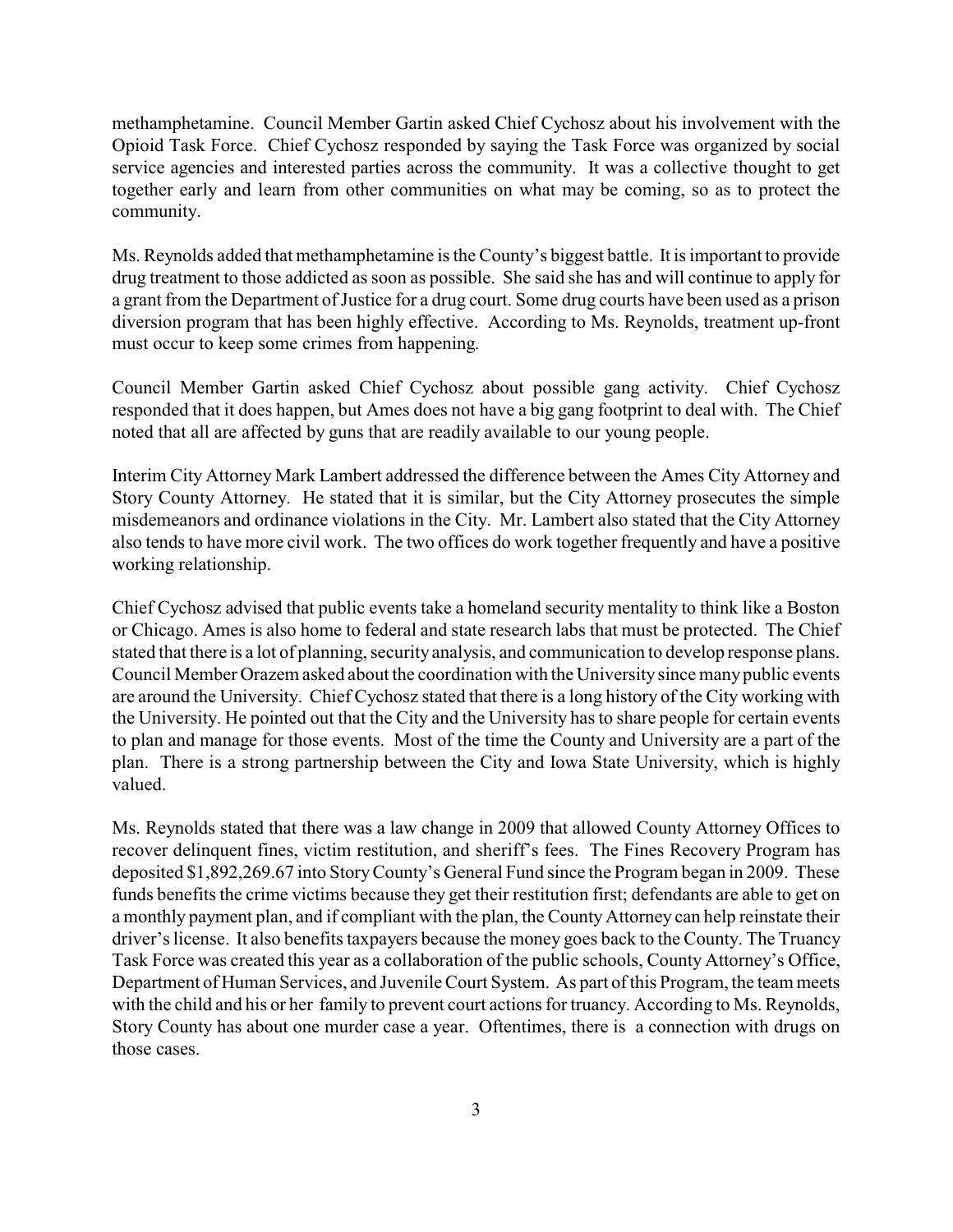methamphetamine. Council Member Gartin asked Chief Cychosz about his involvement with the Opioid Task Force. Chief Cychosz responded by saying the Task Force was organized by social service agencies and interested parties across the community. It was a collective thought to get together early and learn from other communities on what may be coming, so as to protect the community.

Ms. Reynolds added that methamphetamine is the County's biggest battle. It is important to provide drug treatment to those addicted as soon as possible. She said she has and will continue to apply for a grant from the Department of Justice for a drug court. Some drug courts have been used as a prison diversion program that has been highly effective. According to Ms. Reynolds, treatment up-front must occur to keep some crimes from happening.

Council Member Gartin asked Chief Cychosz about possible gang activity. Chief Cychosz responded that it does happen, but Ames does not have a big gang footprint to deal with. The Chief noted that all are affected by guns that are readily available to our young people.

Interim City Attorney Mark Lambert addressed the difference between the Ames City Attorney and Story County Attorney. He stated that it is similar, but the City Attorney prosecutes the simple misdemeanors and ordinance violations in the City. Mr. Lambert also stated that the City Attorney also tends to have more civil work. The two offices do work together frequently and have a positive working relationship.

Chief Cychosz advised that public events take a homeland security mentality to think like a Boston or Chicago. Ames is also home to federal and state research labs that must be protected. The Chief stated that there is a lot of planning, security analysis, and communication to develop response plans. Council Member Orazem asked about the coordination with the University since manypublic events are around the University. Chief Cychosz stated that there is a long history of the City working with the University. He pointed out that the City and the University has to share people for certain events to plan and manage for those events. Most of the time the County and University are a part of the plan. There is a strong partnership between the City and Iowa State University, which is highly valued.

Ms. Reynolds stated that there was a law change in 2009 that allowed County Attorney Offices to recover delinquent fines, victim restitution, and sheriff's fees. The Fines Recovery Program has deposited \$1,892,269.67 into StoryCounty's General Fund since the Program began in 2009. These funds benefits the crime victims because they get their restitution first; defendants are able to get on a monthly payment plan, and if compliant with the plan, the County Attorney can help reinstate their driver's license. It also benefits taxpayers because the money goes back to the County. The Truancy Task Force was created this year as a collaboration of the public schools, County Attorney's Office, Department of Human Services, and Juvenile Court System. As part of this Program, the team meets with the child and his or her family to prevent court actions for truancy. According to Ms. Reynolds, Story County has about one murder case a year. Oftentimes, there is a connection with drugs on those cases.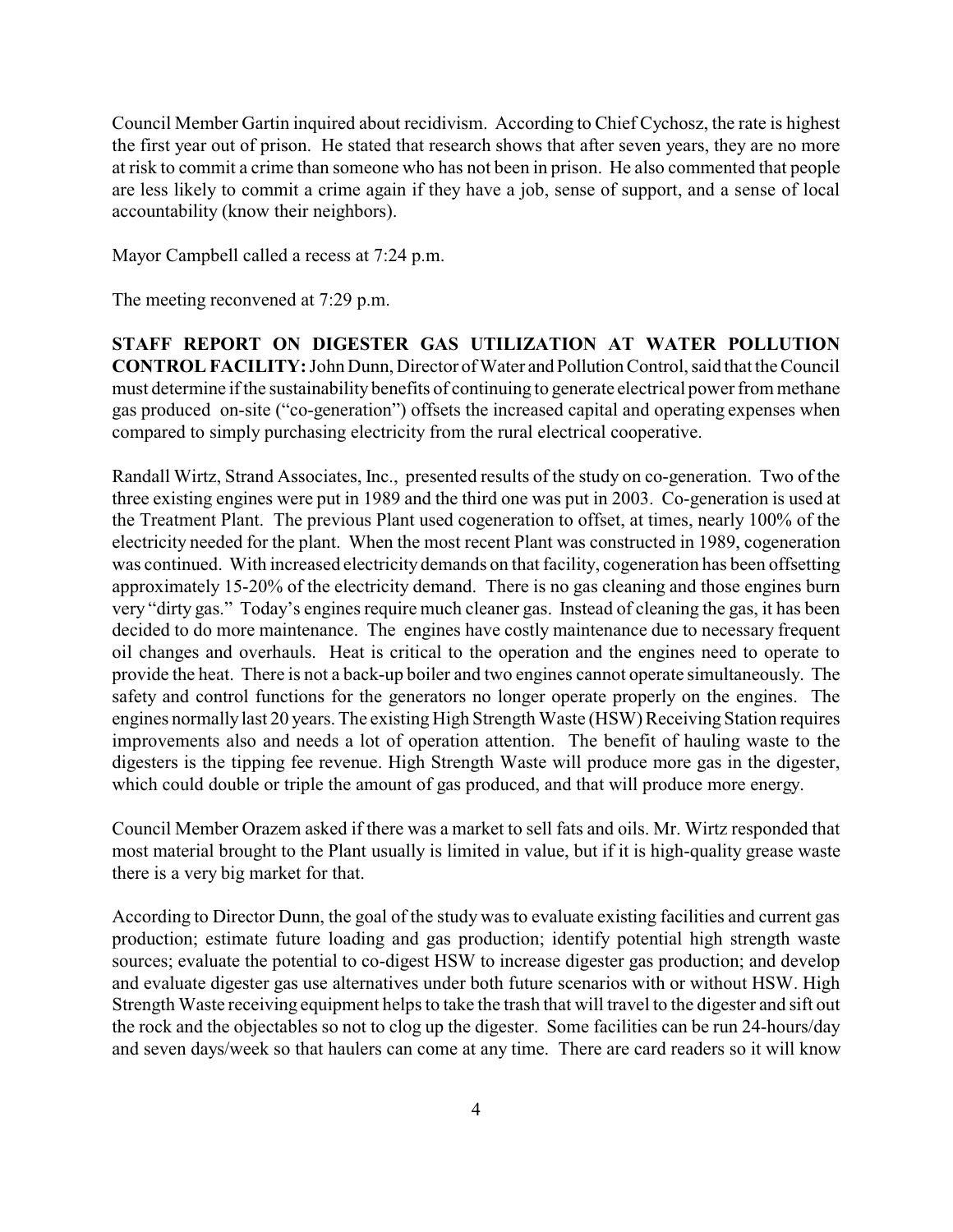Council Member Gartin inquired about recidivism. According to Chief Cychosz, the rate is highest the first year out of prison. He stated that research shows that after seven years, they are no more at risk to commit a crime than someone who has not been in prison. He also commented that people are less likely to commit a crime again if they have a job, sense of support, and a sense of local accountability (know their neighbors).

Mayor Campbell called a recess at 7:24 p.m.

The meeting reconvened at 7:29 p.m.

**STAFF REPORT ON DIGESTER GAS UTILIZATION AT WATER POLLUTION CONTROL FACILITY:**John Dunn, Director of Water and Pollution Control, said that the Council must determine if the sustainability benefits of continuing to generate electrical power from methane gas produced on-site ("co-generation") offsets the increased capital and operating expenses when compared to simply purchasing electricity from the rural electrical cooperative.

Randall Wirtz, Strand Associates, Inc., presented results of the study on co-generation. Two of the three existing engines were put in 1989 and the third one was put in 2003. Co-generation is used at the Treatment Plant. The previous Plant used cogeneration to offset, at times, nearly 100% of the electricity needed for the plant. When the most recent Plant was constructed in 1989, cogeneration was continued. With increased electricity demands on that facility, cogeneration has been offsetting approximately 15-20% of the electricity demand. There is no gas cleaning and those engines burn very "dirty gas." Today's engines require much cleaner gas. Instead of cleaning the gas, it has been decided to do more maintenance. The engines have costly maintenance due to necessary frequent oil changes and overhauls. Heat is critical to the operation and the engines need to operate to provide the heat. There is not a back-up boiler and two engines cannot operate simultaneously. The safety and control functions for the generators no longer operate properly on the engines. The engines normallylast 20 years. The existing High Strength Waste (HSW) Receiving Station requires improvements also and needs a lot of operation attention. The benefit of hauling waste to the digesters is the tipping fee revenue. High Strength Waste will produce more gas in the digester, which could double or triple the amount of gas produced, and that will produce more energy.

Council Member Orazem asked if there was a market to sell fats and oils. Mr. Wirtz responded that most material brought to the Plant usually is limited in value, but if it is high-quality grease waste there is a very big market for that.

According to Director Dunn, the goal of the study was to evaluate existing facilities and current gas production; estimate future loading and gas production; identify potential high strength waste sources; evaluate the potential to co-digest HSW to increase digester gas production; and develop and evaluate digester gas use alternatives under both future scenarios with or without HSW. High Strength Waste receiving equipment helps to take the trash that will travel to the digester and sift out the rock and the objectables so not to clog up the digester. Some facilities can be run 24-hours/day and seven days/week so that haulers can come at any time. There are card readers so it will know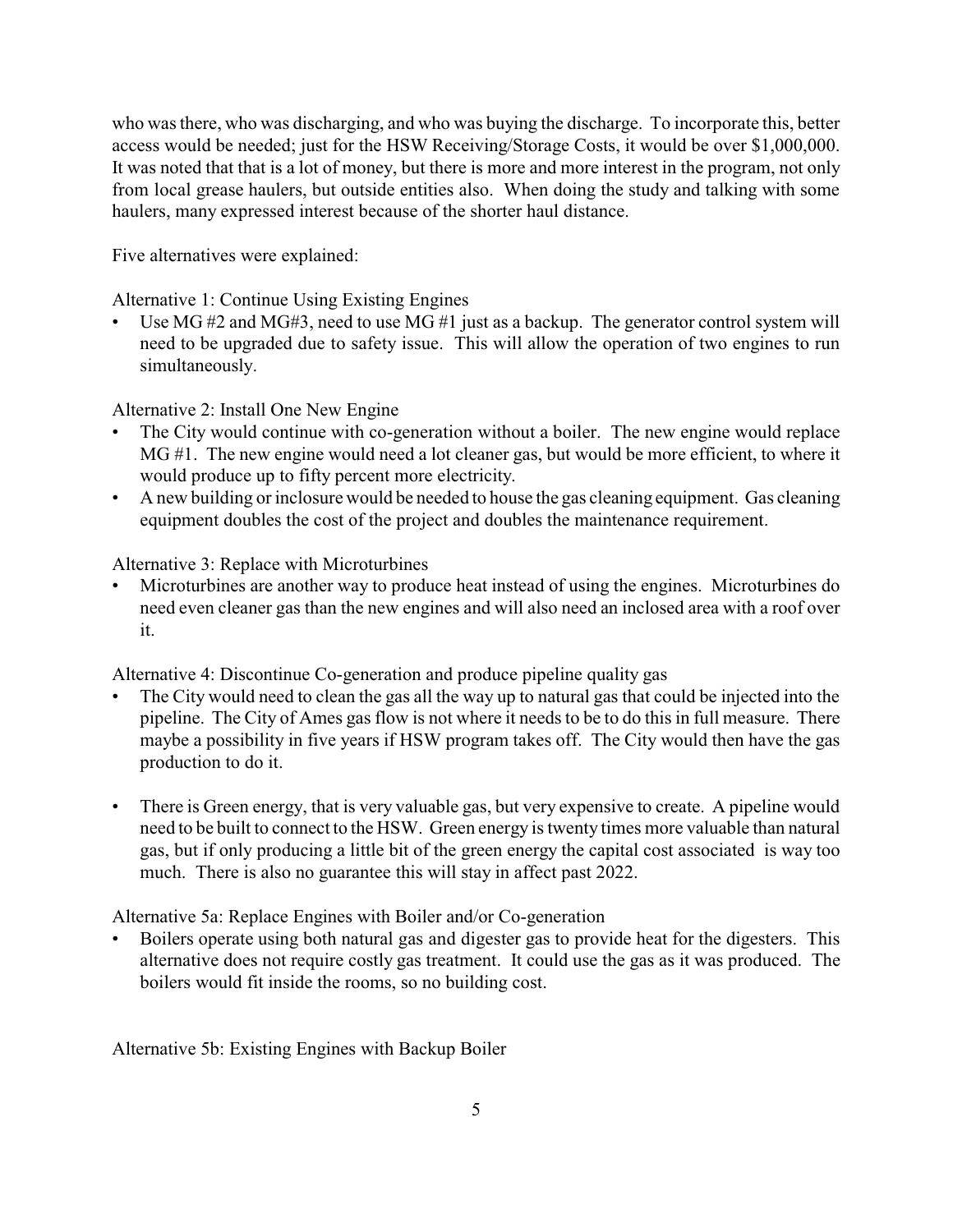who was there, who was discharging, and who was buying the discharge. To incorporate this, better access would be needed; just for the HSW Receiving/Storage Costs, it would be over \$1,000,000. It was noted that that is a lot of money, but there is more and more interest in the program, not only from local grease haulers, but outside entities also. When doing the study and talking with some haulers, many expressed interest because of the shorter haul distance.

Five alternatives were explained:

Alternative 1: Continue Using Existing Engines

Use MG  $#2$  and MG#3, need to use MG  $#1$  just as a backup. The generator control system will need to be upgraded due to safety issue. This will allow the operation of two engines to run simultaneously.

Alternative 2: Install One New Engine

- The City would continue with co-generation without a boiler. The new engine would replace MG #1. The new engine would need a lot cleaner gas, but would be more efficient, to where it would produce up to fifty percent more electricity.
- A new building or inclosure would be needed to house the gas cleaning equipment. Gas cleaning equipment doubles the cost of the project and doubles the maintenance requirement.

Alternative 3: Replace with Microturbines

• Microturbines are another way to produce heat instead of using the engines. Microturbines do need even cleaner gas than the new engines and will also need an inclosed area with a roof over it.

Alternative 4: Discontinue Co-generation and produce pipeline quality gas

- The City would need to clean the gas all the way up to natural gas that could be injected into the pipeline. The City of Ames gas flow is not where it needs to be to do this in full measure. There maybe a possibility in five years if HSW program takes off. The City would then have the gas production to do it.
- There is Green energy, that is very valuable gas, but very expensive to create. A pipeline would need to be built to connect to the HSW. Green energy is twenty times more valuable than natural gas, but if only producing a little bit of the green energy the capital cost associated is way too much. There is also no guarantee this will stay in affect past 2022.

Alternative 5a: Replace Engines with Boiler and/or Co-generation

• Boilers operate using both natural gas and digester gas to provide heat for the digesters. This alternative does not require costly gas treatment. It could use the gas as it was produced. The boilers would fit inside the rooms, so no building cost.

Alternative 5b: Existing Engines with Backup Boiler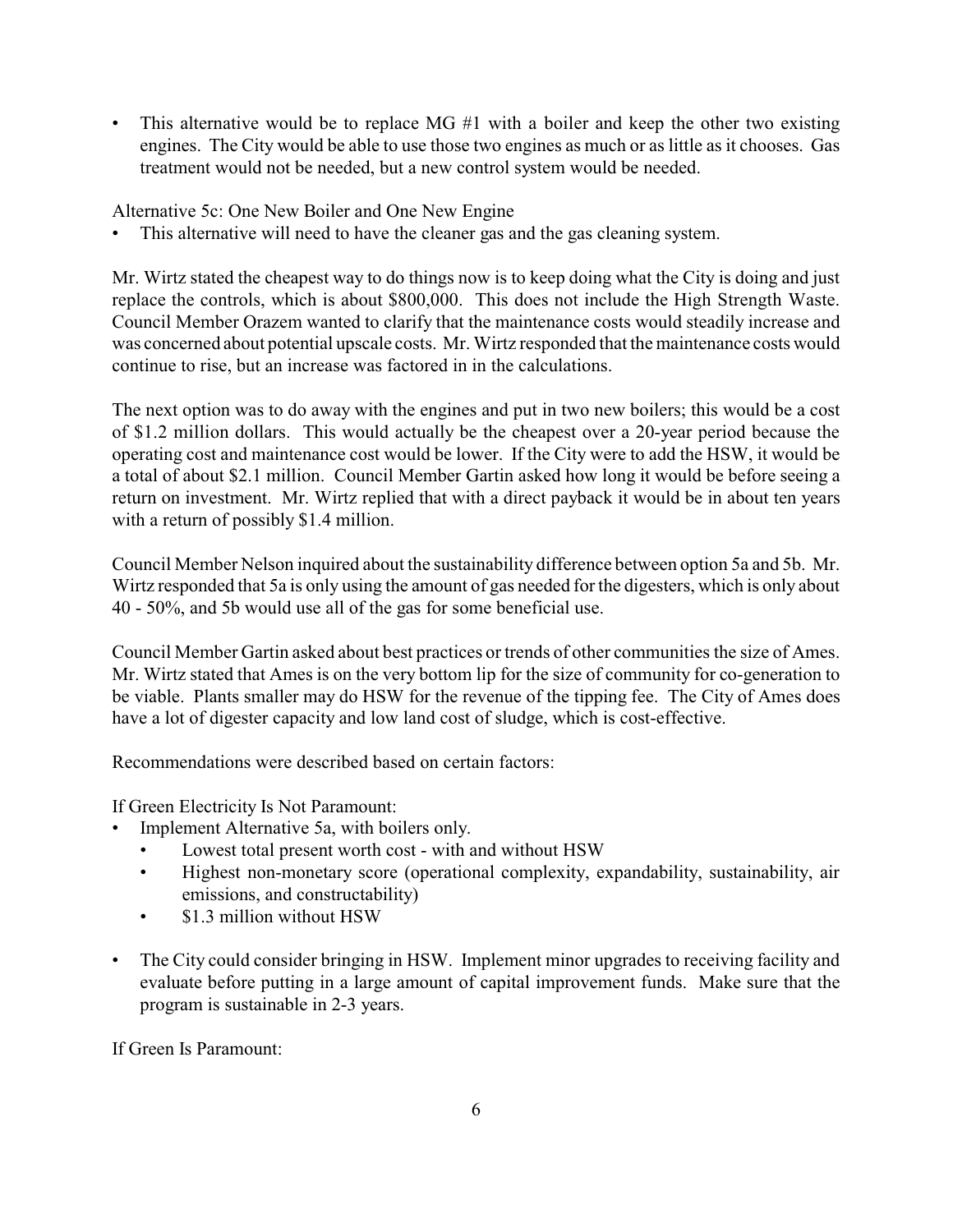This alternative would be to replace MG #1 with a boiler and keep the other two existing engines. The City would be able to use those two engines as much or as little as it chooses. Gas treatment would not be needed, but a new control system would be needed.

Alternative 5c: One New Boiler and One New Engine

This alternative will need to have the cleaner gas and the gas cleaning system.

Mr. Wirtz stated the cheapest way to do things now is to keep doing what the City is doing and just replace the controls, which is about \$800,000. This does not include the High Strength Waste. Council Member Orazem wanted to clarify that the maintenance costs would steadily increase and was concerned about potential upscale costs. Mr. Wirtz responded that the maintenance costs would continue to rise, but an increase was factored in in the calculations.

The next option was to do away with the engines and put in two new boilers; this would be a cost of \$1.2 million dollars. This would actually be the cheapest over a 20-year period because the operating cost and maintenance cost would be lower. If the City were to add the HSW, it would be a total of about \$2.1 million. Council Member Gartin asked how long it would be before seeing a return on investment. Mr. Wirtz replied that with a direct payback it would be in about ten years with a return of possibly \$1.4 million.

Council Member Nelson inquired about the sustainability difference between option 5a and 5b. Mr. Wirtz responded that 5a is only using the amount of gas needed for the digesters, which is only about 40 - 50%, and 5b would use all of the gas for some beneficial use.

Council Member Gartin asked about best practices or trends of other communities the size of Ames. Mr. Wirtz stated that Ames is on the very bottom lip for the size of community for co-generation to be viable. Plants smaller may do HSW for the revenue of the tipping fee. The City of Ames does have a lot of digester capacity and low land cost of sludge, which is cost-effective.

Recommendations were described based on certain factors:

If Green Electricity Is Not Paramount:

- Implement Alternative 5a, with boilers only.
	- Lowest total present worth cost with and without HSW
	- Highest non-monetary score (operational complexity, expandability, sustainability, air emissions, and constructability)
	- \$1.3 million without HSW
- The City could consider bringing in HSW. Implement minor upgrades to receiving facility and evaluate before putting in a large amount of capital improvement funds. Make sure that the program is sustainable in 2-3 years.

If Green Is Paramount: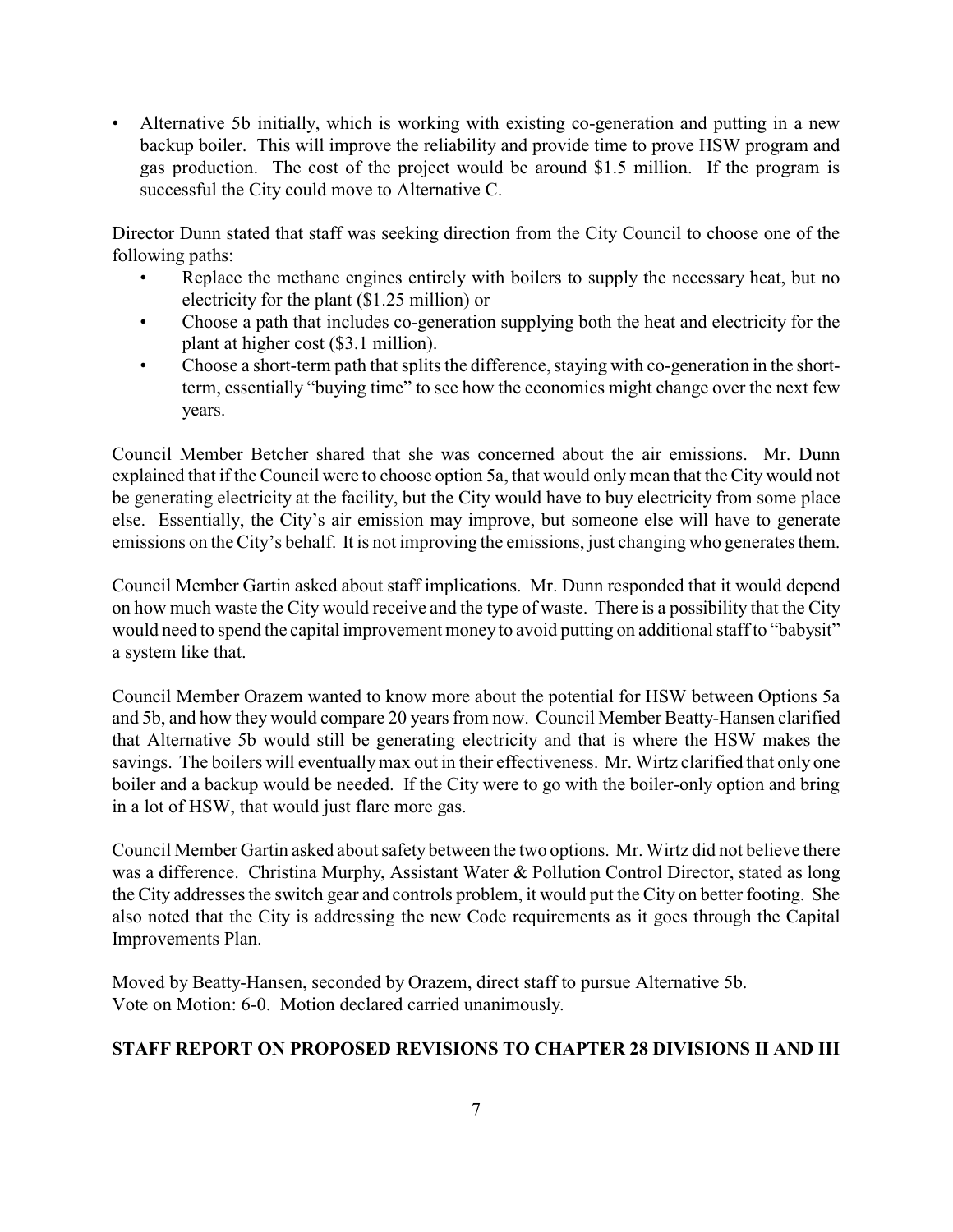• Alternative 5b initially, which is working with existing co-generation and putting in a new backup boiler. This will improve the reliability and provide time to prove HSW program and gas production. The cost of the project would be around \$1.5 million. If the program is successful the City could move to Alternative C.

Director Dunn stated that staff was seeking direction from the City Council to choose one of the following paths:

- Replace the methane engines entirely with boilers to supply the necessary heat, but no electricity for the plant (\$1.25 million) or
- Choose a path that includes co-generation supplying both the heat and electricity for the plant at higher cost (\$3.1 million).
- Choose a short-term path that splits the difference, staying with co-generation in the shortterm, essentially "buying time" to see how the economics might change over the next few years.

Council Member Betcher shared that she was concerned about the air emissions. Mr. Dunn explained that if the Council were to choose option 5a, that would only mean that the City would not be generating electricity at the facility, but the City would have to buy electricity from some place else. Essentially, the City's air emission may improve, but someone else will have to generate emissions on the City's behalf. It is not improving the emissions, just changing who generates them.

Council Member Gartin asked about staff implications. Mr. Dunn responded that it would depend on how much waste the City would receive and the type of waste. There is a possibility that the City would need to spend the capital improvement moneyto avoid putting on additional staff to "babysit" a system like that.

Council Member Orazem wanted to know more about the potential for HSW between Options 5a and 5b, and how they would compare 20 years from now. Council Member Beatty-Hansen clarified that Alternative 5b would still be generating electricity and that is where the HSW makes the savings. The boilers will eventuallymax out in their effectiveness. Mr. Wirtz clarified that only one boiler and a backup would be needed. If the City were to go with the boiler-only option and bring in a lot of HSW, that would just flare more gas.

Council Member Gartin asked about safetybetween the two options. Mr. Wirtz did not believe there was a difference. Christina Murphy, Assistant Water & Pollution Control Director, stated as long the City addresses the switch gear and controls problem, it would put the City on better footing. She also noted that the City is addressing the new Code requirements as it goes through the Capital Improvements Plan.

Moved by Beatty-Hansen, seconded by Orazem, direct staff to pursue Alternative 5b. Vote on Motion: 6-0. Motion declared carried unanimously.

## **STAFF REPORT ON PROPOSED REVISIONS TO CHAPTER 28 DIVISIONS II AND III**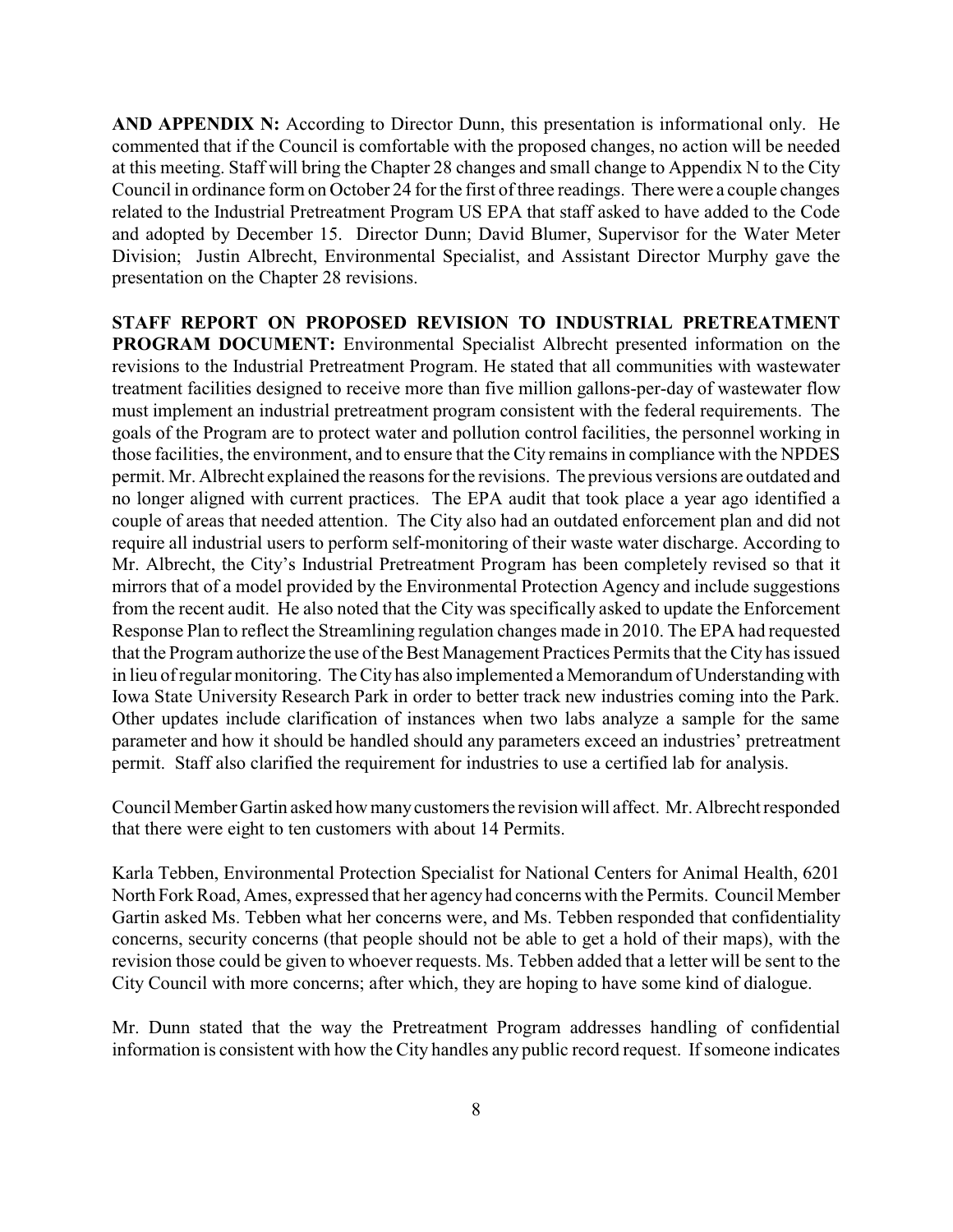**AND APPENDIX N:** According to Director Dunn, this presentation is informational only. He commented that if the Council is comfortable with the proposed changes, no action will be needed at this meeting. Staff will bring the Chapter 28 changes and small change to Appendix N to the City Council in ordinance form on October 24 for the first of three readings. There were a couple changes related to the Industrial Pretreatment Program US EPA that staff asked to have added to the Code and adopted by December 15. Director Dunn; David Blumer, Supervisor for the Water Meter Division; Justin Albrecht, Environmental Specialist, and Assistant Director Murphy gave the presentation on the Chapter 28 revisions.

**STAFF REPORT ON PROPOSED REVISION TO INDUSTRIAL PRETREATMENT PROGRAM DOCUMENT:** Environmental Specialist Albrecht presented information on the revisions to the Industrial Pretreatment Program. He stated that all communities with wastewater treatment facilities designed to receive more than five million gallons-per-day of wastewater flow must implement an industrial pretreatment program consistent with the federal requirements. The goals of the Program are to protect water and pollution control facilities, the personnel working in those facilities, the environment, and to ensure that the City remains in compliance with the NPDES permit. Mr. Albrecht explained the reasons for the revisions. The previous versions are outdated and no longer aligned with current practices. The EPA audit that took place a year ago identified a couple of areas that needed attention. The City also had an outdated enforcement plan and did not require all industrial users to perform self-monitoring of their waste water discharge. According to Mr. Albrecht, the City's Industrial Pretreatment Program has been completely revised so that it mirrors that of a model provided by the Environmental Protection Agency and include suggestions from the recent audit. He also noted that the City was specifically asked to update the Enforcement Response Plan to reflect the Streamlining regulation changes made in 2010. The EPA had requested that the Program authorize the use of the Best Management Practices Permits that the City has issued in lieu of regular monitoring. The City has also implemented a Memorandum of Understandingwith Iowa State University Research Park in order to better track new industries coming into the Park. Other updates include clarification of instances when two labs analyze a sample for the same parameter and how it should be handled should any parameters exceed an industries' pretreatment permit. Staff also clarified the requirement for industries to use a certified lab for analysis.

Council Member Gartin asked how manycustomers the revision will affect. Mr. Albrecht responded that there were eight to ten customers with about 14 Permits.

Karla Tebben, Environmental Protection Specialist for National Centers for Animal Health, 6201 North Fork Road, Ames, expressed that her agency had concerns with the Permits. Council Member Gartin asked Ms. Tebben what her concerns were, and Ms. Tebben responded that confidentiality concerns, security concerns (that people should not be able to get a hold of their maps), with the revision those could be given to whoever requests. Ms. Tebben added that a letter will be sent to the City Council with more concerns; after which, they are hoping to have some kind of dialogue.

Mr. Dunn stated that the way the Pretreatment Program addresses handling of confidential information is consistent with how the City handles any public record request. If someone indicates